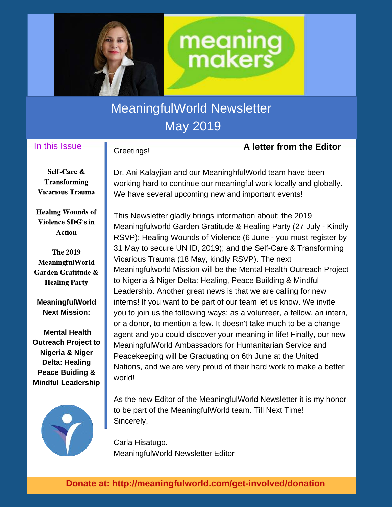

# MeaningfulWorld Newsletter May 2019

#### In this Issue

#### Greetings!

#### **A letter from the Editor**

Self-Care & **Transforming** Vicarious Trauma

Healing Wounds of Violence SDG`s in Action

The 2019 MeaningfulWorld Garden Gratitude & Healing Party

**MeaningfulWorld Next Mission:**

**Mental Health Outreach Project to Nigeria & Niger Delta: Healing Peace Buiding & Mindful Leadership**



Dr. Ani Kalayjian and our MeaninghfulWorld team have been working hard to continue our meaningful work locally and globally. We have several upcoming new and important events!

**meaning**<br>**makers** 

This Newsletter gladly brings information about: the 2019 Meaningfulworld Garden Gratitude & Healing Party (27 July - Kindly RSVP); Healing Wounds of Violence (6 June - you must register by 31 May to secure UN ID, 2019); and the Self-Care & Transforming Vicarious Trauma (18 May, kindly RSVP). The next Meaningfulworld Mission will be the Mental Health Outreach Project to Nigeria & Niger Delta: Healing, Peace Building & Mindful Leadership. Another great news is that we are calling for new interns! If you want to be part of our team let us know. We invite you to join us the following ways: as a volunteer, a fellow, an intern, or a donor, to mention a few. It doesn't take much to be a change agent and you could discover your meaning in life! Finally, our new MeaningfulWorld Ambassadors for Humanitarian Service and Peacekeeping will be Graduating on 6th June at the United Nations, and we are very proud of their hard work to make a better world!

As the new Editor of the MeaningfulWorld Newsletter it is my honor to be part of the MeaningfulWorld team. Till Next Time! Sincerely,

Carla Hisatugo. MeaningfulWorld Newsletter Editor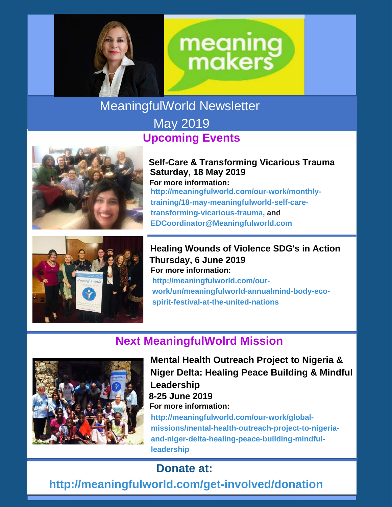

# **meaning**<br>**makers**

MeaningfulWorld Newsletter

## May 2019 **Upcoming Events**



**Self-Care & Transforming Vicarious Trauma Saturday, 18 May 2019 For more information: http://meaningfulworld.com/our-work/monthlytraining/18-may-meaningfulworld-self-caretransforming-vicarious-trauma, and EDCoordinator@Meaningfulworld.com**



**Healing Wounds of Violence SDG's in Action Thursday, 6 June 2019 http://meaningfulworld.com/ourwork/un/meaningfulworld-annualmind-body-ecospirit-festival-at-the-united-nations For more information:**

## **Next MeaningfulWolrd Mission**



**Mental Health Outreach Project to Nigeria & Niger Delta: Healing Peace Building & Mindful Leadership 8-25 June 2019 For more information: http://meaningfulworld.com/our-work/globalmissions/mental-health-outreach-project-to-nigeriaand-niger-delta-healing-peace-building-mindful-**

## **Donate at:**

**leadership**

**http://meaningfulworld.com/get-involved/donation**